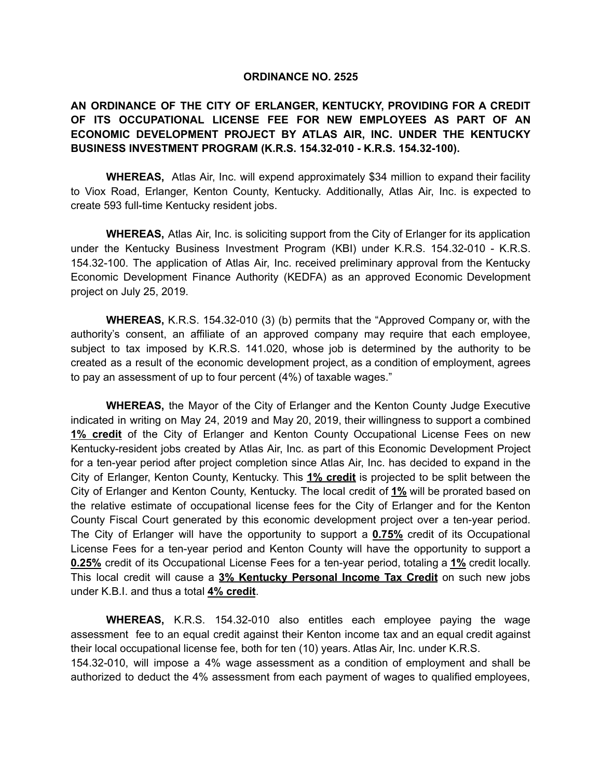#### **ORDINANCE NO. 2525**

# **AN ORDINANCE OF THE CITY OF ERLANGER, KENTUCKY, PROVIDING FOR A CREDIT OF ITS OCCUPATIONAL LICENSE FEE FOR NEW EMPLOYEES AS PART OF AN ECONOMIC DEVELOPMENT PROJECT BY ATLAS AIR, INC. UNDER THE KENTUCKY BUSINESS INVESTMENT PROGRAM (K.R.S. 154.32-010 - K.R.S. 154.32-100).**

**WHEREAS,** Atlas Air, Inc. will expend approximately \$34 million to expand their facility to Viox Road, Erlanger, Kenton County, Kentucky. Additionally, Atlas Air, Inc. is expected to create 593 full-time Kentucky resident jobs.

**WHEREAS,** Atlas Air, Inc. is soliciting support from the City of Erlanger for its application under the Kentucky Business Investment Program (KBI) under K.R.S. 154.32-010 - K.R.S. 154.32-100. The application of Atlas Air, Inc. received preliminary approval from the Kentucky Economic Development Finance Authority (KEDFA) as an approved Economic Development project on July 25, 2019.

**WHEREAS,** K.R.S. 154.32-010 (3) (b) permits that the "Approved Company or, with the authority's consent, an affiliate of an approved company may require that each employee, subject to tax imposed by K.R.S. 141.020, whose job is determined by the authority to be created as a result of the economic development project, as a condition of employment, agrees to pay an assessment of up to four percent (4%) of taxable wages."

**WHEREAS,** the Mayor of the City of Erlanger and the Kenton County Judge Executive indicated in writing on May 24, 2019 and May 20, 2019, their willingness to support a combined **1% credit** of the City of Erlanger and Kenton County Occupational License Fees on new Kentucky-resident jobs created by Atlas Air, Inc. as part of this Economic Development Project for a ten-year period after project completion since Atlas Air, Inc. has decided to expand in the City of Erlanger, Kenton County, Kentucky. This **1% credit** is projected to be split between the City of Erlanger and Kenton County, Kentucky. The local credit of **1%** will be prorated based on the relative estimate of occupational license fees for the City of Erlanger and for the Kenton County Fiscal Court generated by this economic development project over a ten-year period. The City of Erlanger will have the opportunity to support a **0.75%** credit of its Occupational License Fees for a ten-year period and Kenton County will have the opportunity to support a **0.25%** credit of its Occupational License Fees for a ten-year period, totaling a **1%** credit locally. This local credit will cause a **3% Kentucky Personal Income Tax Credit** on such new jobs under K.B.I. and thus a total **4% credit**.

**WHEREAS,** K.R.S. 154.32-010 also entitles each employee paying the wage assessment fee to an equal credit against their Kenton income tax and an equal credit against their local occupational license fee, both for ten (10) years. Atlas Air, Inc. under K.R.S. 154.32-010, will impose a 4% wage assessment as a condition of employment and shall be authorized to deduct the 4% assessment from each payment of wages to qualified employees,